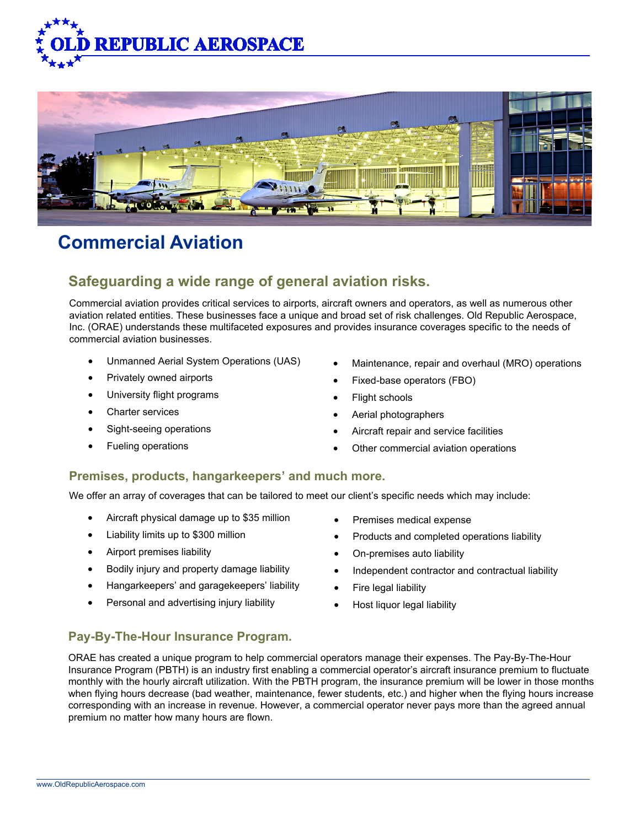



## **Commercial Aviation**

### **Safeguarding a wide range of general aviation risks.**

Commercial aviation provides critical services to airports, aircraft owners and operators, as well as numerous other aviation related entities. These businesses face a unique and broad set of risk challenges. Old Republic Aerospace, Inc. (ORAE) understands these multifaceted exposures and provides insurance coverages specific to the needs of commercial aviation businesses.

- Unmanned Aerial System Operations (UAS)
- Privately owned airports
- University flight programs
- Charter services
- Sight-seeing operations
- Fueling operations
- Maintenance, repair and overhaul (MRO) operations
- Fixed-base operators (FBO)
- **Flight schools**
- Aerial photographers
- Aircraft repair and service facilities
- Other commercial aviation operations

#### **Premises, products, hangarkeepers' and much more.**

We offer an array of coverages that can be tailored to meet our client's specific needs which may include:

- Aircraft physical damage up to \$35 million
- Liability limits up to \$300 million
- Airport premises liability
- Bodily injury and property damage liability
- Hangarkeepers' and garagekeepers' liability
- Personal and advertising injury liability
- Premises medical expense
- Products and completed operations liability
- On-premises auto liability
- Independent contractor and contractual liability
- Fire legal liability
- Host liquor legal liability

### **Pay-By-The-Hour Insurance Program.**

ORAE has created a unique program to help commercial operators manage their expenses. The Pay-By-The-Hour Insurance Program (PBTH) is an industry first enabling a commercial operator's aircraft insurance premium to fluctuate monthly with the hourly aircraft utilization. With the PBTH program, the insurance premium will be lower in those months when flying hours decrease (bad weather, maintenance, fewer students, etc.) and higher when the flying hours increase corresponding with an increase in revenue. However, a commercial operator never pays more than the agreed annual premium no matter how many hours are flown.